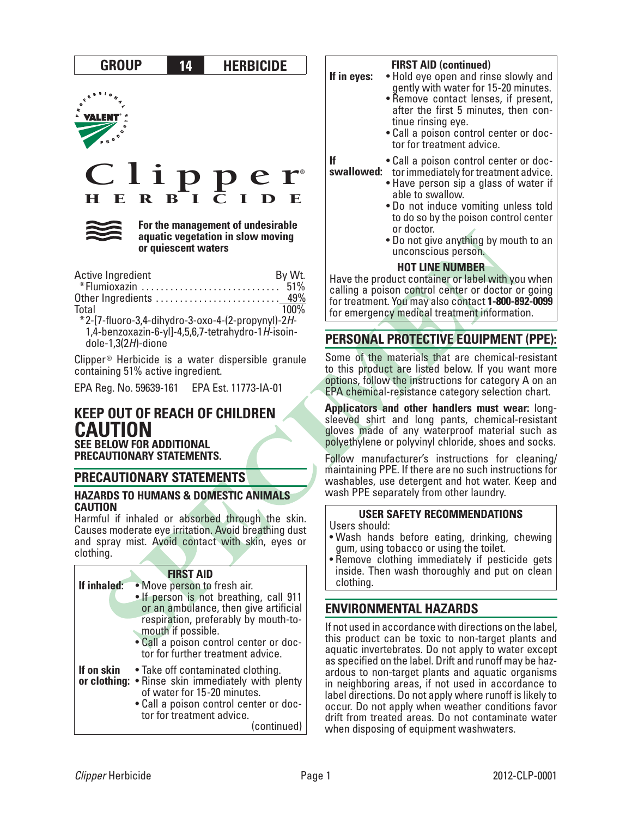

Clipper® Herbicide is a water dispersible granule containing 51% active ingredient.

EPA Reg. No. 59639-161 EPA Est. 11773-IA-01

## **KEEP OUT OF REACH OF CHILDREN CAUTION SEE BELOW FOR ADDITIONAL**

**PRECAUTIONARY STATEMENTS.**

## **PRECAUTIONARY STATEMENTS**

#### **HAZARDS TO HUMANS & DOMESTIC ANIMALS CAUTION**

Harmful if inhaled or absorbed through the skin. Causes moderate eye irritation. Avoid breathing dust and spray mist. Avoid contact with skin, eyes or clothing.

| If inhaled: | <b>FIRST AID</b><br>• Move person to fresh air.<br>. If person is not breathing, call 911                                                                                                                   |
|-------------|-------------------------------------------------------------------------------------------------------------------------------------------------------------------------------------------------------------|
|             | or an ambulance, then give artificial<br>respiration, preferably by mouth-to-<br>mouth if possible.<br>. Call a poison control center or doc-<br>tor for further treatment advice.                          |
| If on skin  | • Take off contaminated clothing.<br>or clothing: • Rinse skin immediately with plenty<br>of water for 15-20 minutes.<br>. Call a poison control center or doc-<br>tor for treatment advice.<br>(continued) |

### **FIRST AID (continued)**

- **If in eyes:** Hold eye open and rinse slowly and gently with water for 15-20 minutes.
	- Remove contact lenses, if present, after the first <sup>5</sup> minutes, then con- tinue rinsing eye.
	- • Call <sup>a</sup> poison control center or doc- tor for treatment advice.

**swallowed:** • Call <sup>a</sup> poison control center or doc- torimmediately fortreatment advice.

- - Have person sip a glass of water if able to swallow.
	- Do not induce vomiting unless told to do so by the poison control center or doctor.
	- Do not give anything by mouth to an unconscious person.

## **HOT LINE NUMBER**

Have the product container or label with you when calling a poison control center or doctor or going for treatment. You may also contact **1-800-892-0099** for emergency medical treatment information.

# **PERSONAL PROTECTIVE EQUIPMENT (PPE):**

Some of the materials that are chemical-resistant to this product are listed below. If you want more options, follow the instructions for category A on an EPA chemical-resistance category selection chart.

**Applicators and other handlers must wear:** longsleeved shirt and long pants, chemical-resistant gloves made of any waterproof material such as polyethylene or polyvinyl chloride, shoes and socks.

Follow manufacturer's instructions for cleaning/ maintaining PPE. If there are no such instructions for washables, use detergent and hot water. Keep and wash PPE separately from other laundry.

## **USER SAFETY RECOMMENDATIONS**

Users should:

- • Wash hands before eating, drinking, chewing gum, using tobacco or using the toilet.
- Remove clothing immediately if pesticide gets inside. Then wash thoroughly and put on clean clothing.

# **ENVIRONMENTAL HAZARDS**

If not used in accordance with directions on the label, this product can be toxic to non-target plants and aquatic invertebrates. Do not apply to water except as specified on the label. Drift and runoff may be haz- ardous to non-target plants and aquatic organisms in neighboring areas, if not used in accordance to label directions. Do not apply where runoff is likely to occur. Do not apply when weather conditions favor drift from treated areas. Do not contaminate water when disposing of equipment washwaters.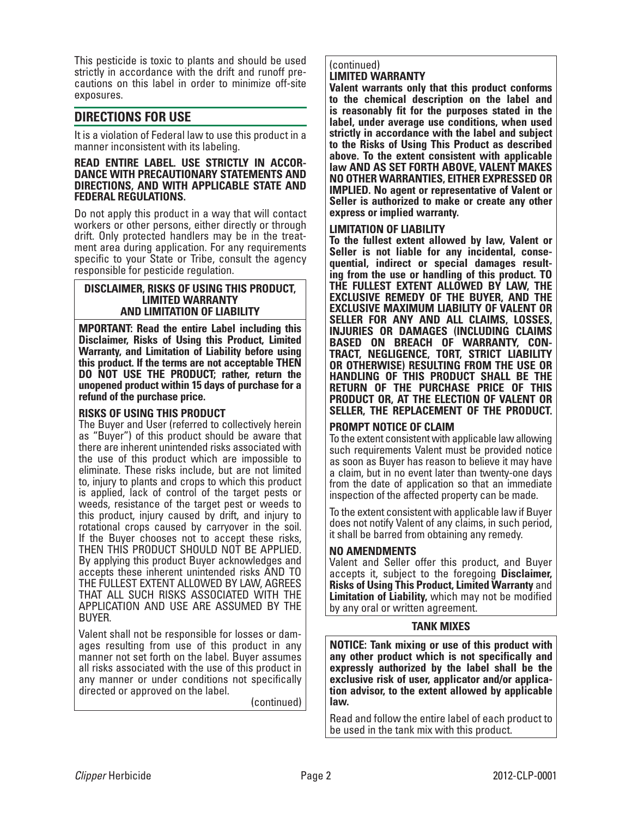This pesticide is toxic to plants and should be used strictly in accordance with the drift and runoff precautions on this label in order to minimize off-site exposures.

## **DIRECTIONS FOR USE**

It is a violation of Federal law to use this product in a manner inconsistent with its labeling.

## **READ ENTIRE LABEL. USE STRICTLY IN ACCOR- DANCE WITH PRECAUTIONARY STATEMENTS AND DIRECTIONS, AND WITH APPLICABLE STATE AND FEDERAL REGULATIONS.**

Do not apply this product in a way that will contact workers or other persons, either directly or through drift. Only protected handlers may be in the treatment area during application. For any requirements specific to your State or Tribe, consult the agency responsible for pesticide regulation.

#### **DISCLAIMER, RISKS OF USING THIS PRODUCT, LIMITED WARRANTY AND LIMITATION OF LIABILITY**

**MPORTANT: Read the entire Label including this Disclaimer, Risks of Using this Product, Limited Warranty, and Limitation of Liability before using this product. If the terms are not acceptable THEN DO NOT USE THE PRODUCT; rather, return the unopened product within 15 days of purchase for a refund of the purchase price.** 

### **RISKS OF USING THIS PRODUCT**

The Buyer and User (referred to collectively herein as "Buyer") of this product should be aware that there are inherent unintended risks associated with the use of this product which are impossible to eliminate. These risks include, but are not limited to, injury to plants and crops to which this product is applied, lack of control of the target pests or weeds, resistance of the target pest or weeds to this product, injury caused by drift, and injury to rotational crops caused by carryover in the soil. If the Buyer chooses not to accept these risks, THEN THIS PRODUCT SHOULD NOT BE APPLIED. By applying this product Buyer acknowledges and accepts these inherent unintended risks AND TO THE FULLEST EXTENT ALLOWED BY LAW, AGREES THAT ALL SUCH RISKS ASSOCIATED WITH THE APPLICATION AND USE ARE ASSUMED BY THE BUYER.

Valent shall not be responsible for losses or damages resulting from use of this product in any manner not set forth on the label. Buyer assumes all risks associated with the use of this product in any manner or under conditions not specifically directed or approved on the label.

(continued)

#### (continued) **LIMITED WARRANTY**

**Valent warrants only that this product conforms to the chemical description on the label and is reasonably fit for the purposes stated in the label, under average use conditions, when used strictly in accordance with the label and subject to the Risks of Using This Product as described above. To the extent consistent with applicable law AND AS SET FORTH ABOVE, VALENT MAKES NO OTHER WARRANTIES, EITHER EXPRESSED OR IMPLIED. No agent or representative of Valent or Seller is authorized to make or create any other express or implied warranty.** 

#### **LIMITATION OF LIABILITY**

**To the fullest extent allowed by law, Valent or Seller is not liable for any incidental, conse- quential, indirect or special damages result- ing from the use or handling of this product. TO THE FULLEST EXTENT ALLOWED BY LAW, THE EXCLUSIVE REMEDY OF THE BUYER, AND THE EXCLUSIVE MAXIMUM LIABILITY OF VALENT OR SELLER FOR ANY AND ALL CLAIMS, LOSSES, INJURIES OR DAMAGES (INCLUDING CLAIMS BASED ON BREACH OF WARRANTY, CON- TRACT, NEGLIGENCE, TORT, STRICT LIABILITY OR OTHERWISE) RESULTING FROM THE USE OR HANDLING OF THIS PRODUCT SHALL BE THE RETURN OF THE PURCHASE PRICE OF THIS PRODUCT OR, AT THE ELECTION OF VALENT OR SELLER, THE REPLACEMENT OF THE PRODUCT.** 

### **PROMPT NOTICE OF CLAIM**

To the extent consistent with applicable law allowing such requirements Valent must be provided notice as soon as Buyer has reason to believe it may have a claim, but in no event later than twenty-one days from the date of application so that an immediate inspection of the affected property can be made.

To the extent consistent with applicable law if Buyer does not notify Valent of any claims, in such period, it shall be barred from obtaining any remedy.

### **NO AMENDMENTS**

Valent and Seller offer this product, and Buyer accepts it, subject to the foregoing **Disclaimer, Risks of Using This Product, Limited Warranty** and **Limitation of Liability,** which may not be modified by any oral or written agreement.

#### **TANK MIXES**

**NOTICE: Tank mixing or use of this product with any other product which is not specifically and expressly authorized by the label shall be the exclusive risk of user, applicator and/or applica- tion advisor, to the extent allowed by applicable law.**

Read and follow the entire label of each product to be used in the tank mix with this product.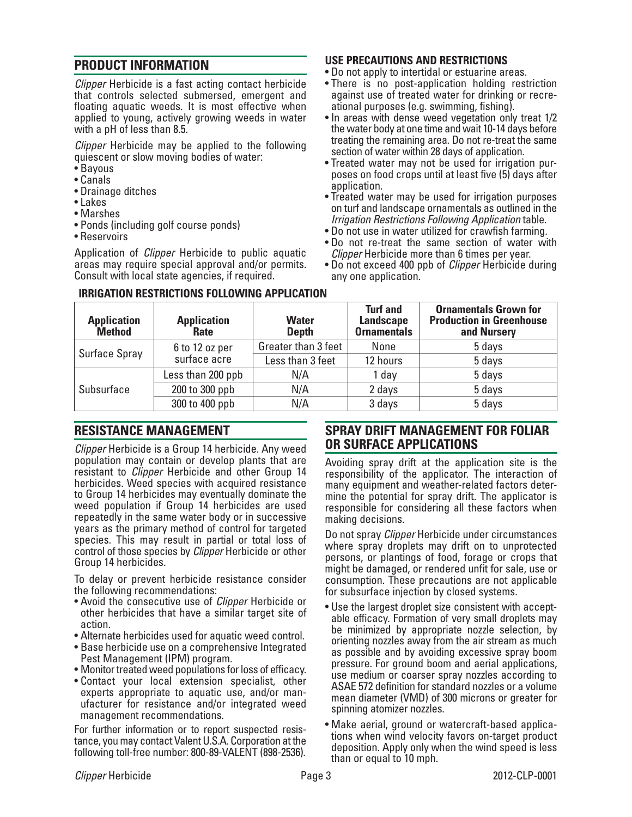## **PRODUCT INFORMATION**

*Clipper* Herbicide is a fast acting contact herbicide that controls selected submersed, emergent and floating aquatic weeds. It is most effective when applied to young, actively growing weeds in water with a pH of less than 8.5.

*Clipper* Herbicide may be applied to the following quiescent or slow moving bodies of water:

- • Bayous
- • Canals
- Drainage ditches
- • Lakes
- • Marshes
- Ponds (including golf course ponds)
- • Reservoirs

Application of *Clipper* Herbicide to public aquatic areas may require special approval and/or permits. Consult with local state agencies, if required.

## **USE PRECAUTIONS AND RESTRICTIONS**

- Do not apply to intertidal or estuarine areas.
- There is no post-application holding restriction against use of treated water for drinking or recreational purposes (e.g. swimming, fishing).
- In areas with dense weed vegetation only treat 1/2 the water body at one time and wait 10-14 days before treating the remaining area. Do not re-treat the same section of water within 28 days of application.
- Treated water may not be used for irrigation purposes on food crops until at least five (5) days after application.
- Treated water may be used for irrigation purposes on turf and landscape ornamentals as outlined in the *Irrigation Restrictions Following Application* table.
- Do not use in water utilized for crawfish farming.
- Do not re-treat the same section of water with *Clipper* Herbicide more than 6 times per year.
- • Do not exceed 400 ppb of *Clipper* Herbicide during any one application.

| <b>Application</b><br><b>Method</b> | <b>Application</b><br><b>Rate</b> | <b>Water</b><br><b>Depth</b> | <b>Turf and</b><br><b>Landscape</b><br><b>Ornamentals</b> | <b>Ornamentals Grown for</b><br><b>Production in Greenhouse</b><br>and Nursery |
|-------------------------------------|-----------------------------------|------------------------------|-----------------------------------------------------------|--------------------------------------------------------------------------------|
| Surface Spray                       | 6 to 12 oz per                    | Greater than 3 feet          | None                                                      | 5 days                                                                         |
|                                     | surface acre                      | Less than 3 feet             | 12 hours                                                  | 5 days                                                                         |
|                                     | Less than 200 ppb                 | N/A                          | l day                                                     | 5 days                                                                         |
| Subsurface                          | 200 to 300 ppb                    | N/A                          | 2 days                                                    | 5 days                                                                         |
|                                     | 300 to 400 ppb                    | N/A                          | 3 days                                                    | 5 days                                                                         |

### **IRRIGATION RESTRICTIONS FOLLOWING APPLICATION**

## **RESISTANCE MANAGEMENT**

*Clipper* Herbicide is a Group 14 herbicide. Any weed population may contain or develop plants that are resistant to *Clipper* Herbicide and other Group 14 herbicides. Weed species with acquired resistance to Group 14 herbicides may eventually dominate the weed population if Group 14 herbicides are used repeatedly in the same water body or in successive years as the primary method of control for targeted species. This may result in partial or total loss of control of those species by *Clipper* Herbicide or other Group 14 herbicides.

To delay or prevent herbicide resistance consider the following recommendations:

- • Avoid the consecutive use of *Clipper* Herbicide or other herbicides that have a similar target site of action.
- Alternate herbicides used for aquatic weed control.
- Base herbicide use on a comprehensive Integrated Pest Management (IPM) program.
- Monitor treated weed populations for loss of efficacy.
- Contact your local extension specialist, other experts appropriate to aquatic use, and/or manufacturer for resistance and/or integrated weed management recommendations.

For further information or to report suspected resis-<br>tance, you may contact Valent U.S.A. Corporation at the following toll-free number: 800-89-VALENT (898-2536).

## **SPRAY DRIFT MANAGEMENT FOR FOLIAR OR SURFACE APPLICATIONS**

Avoiding spray drift at the application site is the responsibility of the applicator. The interaction of many equipment and weather-related factors determine the potential for spray drift. The applicator is responsible for considering all these factors when making decisions.

Do not spray *Clipper* Herbicide under circumstances where spray droplets may drift on to unprotected persons, or plantings of food, forage or crops that might be damaged, or rendered unfit for sale, use or consumption. These precautions are not applicable for subsurface injection by closed systems.

- Use the largest droplet size consistent with acceptable efficacy. Formation of very small droplets may be minimized by appropriate nozzle selection, by orienting nozzles away from the air stream as much as possible and by avoiding excessive spray boom pressure. For ground boom and aerial applications, use medium or coarser spray nozzles according to ASAE 572 definition for standard nozzles or a volume mean diameter (VMD) of 300 microns or greater for spinning atomizer nozzles.
- Make aerial, ground or watercraft-based applications when wind velocity favors on-target product deposition. Apply only when the wind speed is less than or equal to 10 mph.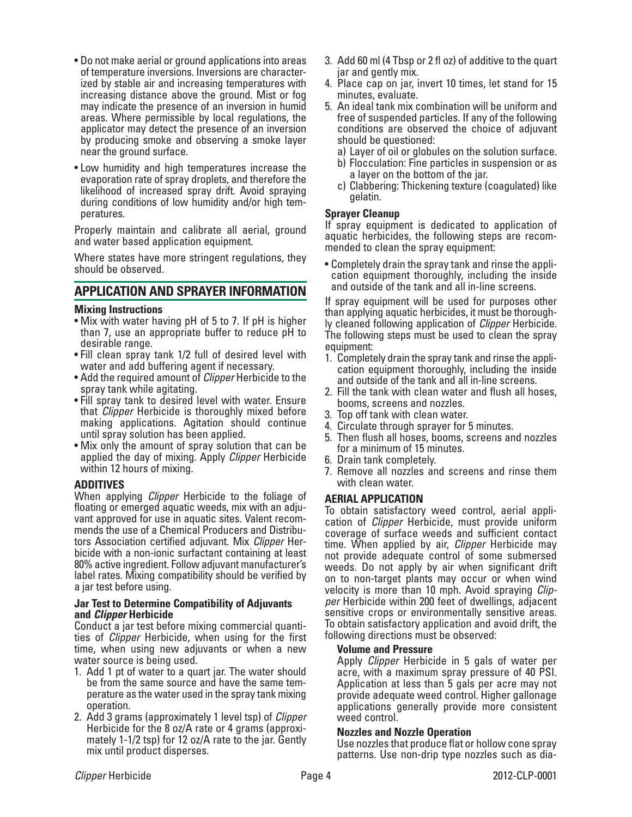- Do not make aerial or ground applications into areas of temperature inversions. Inversions are characterized by stable air and increasing temperatures with increasing distance above the ground. Mist or fog may indicate the presence of an inversion in humid areas. Where permissible by local regulations, the applicator may detect the presence of an inversion by producing smoke and observing a smoke layer near the ground surface.
- Low humidity and high temperatures increase the evaporation rate of spray droplets, and therefore the likelihood of increased spray drift. Avoid spraying during conditions of low humidity and/or high tem- peratures.

Properly maintain and calibrate all aerial, ground and water based application equipment.

Where states have more stringent regulations, they should be observed.

## **APPLICATION AND SPRAYER INFORMATION**

#### **Mixing Instructions**

- Mix with water having pH of 5 to 7. If pH is higher than 7, use an appropriate buffer to reduce pH to desirable range.
- Fill clean spray tank 1/2 full of desired level with water and add buffering agent if necessary.
- • Add the required amount of *Clipper* Herbicide to the spray tank while agitating.
- Fill spray tank to desired level with water. Ensure that *Clipper* Herbicide is thoroughly mixed before making applications. Agitation should continue until spray solution has been applied.
- Mix only the amount of spray solution that can be applied the day of mixing. Apply *Clipper* Herbicide within 12 hours of mixing.

### **ADDITIVES**

When applying *Clipper* Herbicide to the foliage of vant approved for use in aquatic sites. Valent recommends the use of a Chemical Producers and Distributors Association certified adjuvant. Mix *Clipper* Herbicide with a non-ionic surfactant containing at least 80% active ingredient. Follow adjuvant manufacturer's label rates. Mixing compatibility should be verified by a jar test before using.

#### **Jar Test to Determine Compatibility of Adjuvants and** *Clipper* **Herbicide**

Conduct a jar test before mixing commercial quantities of *Clipper* Herbicide, when using for the first time, when using new adjuvants or when a new water source is being used.

- 1. Add 1 pt of water to a quart jar. The water should be from the same source and have the same temperature as the water used in the spray tank mixing operation.
- 2. Add 3 grams (approximately 1 level tsp) of *Clipper* Herbicide for the 8 oz/A rate or 4 grams (approximately 1-1/2 tsp) for 12 oz/A rate to the jar. Gently mix until product disperses.
- 3. Add 60 ml (4 Tbsp or 2 fl oz) of additive to the quart jar and gently mix.
- 4. Place cap on jar, invert 10 times, let stand for 15 minutes, evaluate.
- 5. An ideal tank mix combination will be uniform and free of suspended particles. If any of the following conditions are observed the choice of adjuvant should be questioned:
	- a) Layer of oil or globules on the solution surface.
	- b) Flocculation: Fine particles in suspension or as a layer on the bottom of the jar.
	- c) Clabbering: Thickening texture (coagulated) like gelatin.

## **Sprayer Cleanup**

If spray equipment is dedicated to application of aquatic herbicides, the following steps are recommended to clean the spray equipment:

• Completely drain the spray tank and rinse the application equipment thoroughly, including the inside and outside of the tank and all in-line screens.

If spray equipment will be used for purposes other than applying aquatic herbicides, it must be thoroughly cleaned following application of *Clipper* Herbicide. The following steps must be used to clean the spray equipment:

- 1. Completely drain the spray tank and rinse the application equipment thoroughly, including the inside and outside of the tank and all in-line screens.
- 2. Fill the tank with clean water and flush all hoses, booms, screens and nozzles.
- 3. Top off tank with clean water.
- 4. Circulate through sprayer for 5 minutes.
- 5. Then flush all hoses, booms, screens and nozzles for a minimum of 15 minutes.
- 6. Drain tank completely.
- 7. Remove all nozzles and screens and rinse them with clean water.

### **AERIAL APPLICATION**

To obtain satisfactory weed control, aerial appli- cation of *Clipper* Herbicide, must provide uniform coverage of surface weeds and sufficient contact time. When applied by air, *Clipper* Herbicide may not provide adequate control of some submersed weeds. Do not apply by air when significant drift on to non-target plants may occur or when wind velocity is more than 10 mph. Avoid spraying *Clipper* Herbicide within 200 feet of dwellings, adjacent sensitive crops or environmentally sensitive areas. To obtain satisfactory application and avoid drift, the following directions must be observed:

### **Volume and Pressure**

 Apply *Clipper* Herbicide in 5 gals of water per acre, with a maximum spray pressure of 40 PSI. Application at less than 5 gals per acre may not provide adequate weed control. Higher gallonage applications generally provide more consistent weed control.

### **Nozzles and Nozzle Operation**

 Use nozzles that produce flat or hollow cone spray patterns. Use non-drip type nozzles such as dia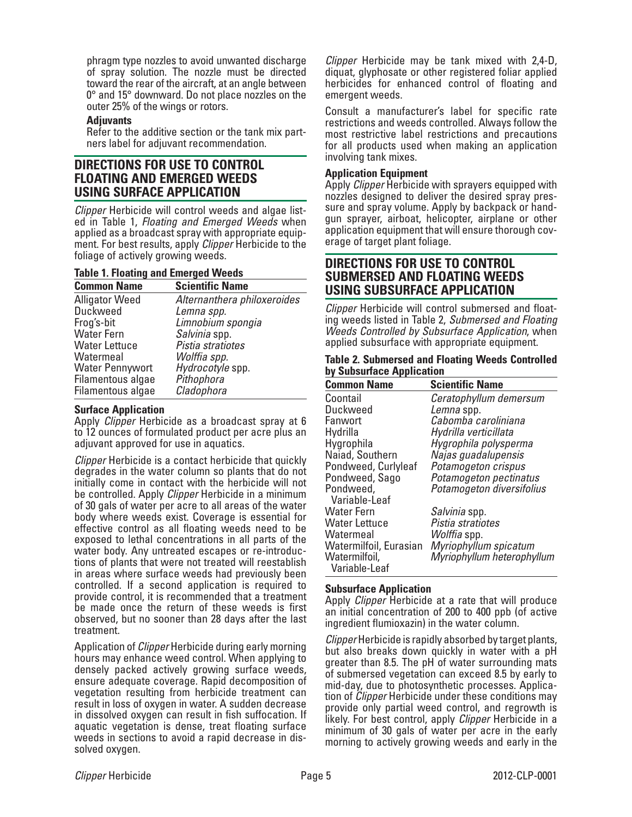phragm type nozzles to avoid unwanted discharge of spray solution. The nozzle must be directed toward the rear of the aircraft, at an angle between 0° and 15° downward. Do not place nozzles on the outer 25% of the wings or rotors.

#### **Adjuvants**

 Refer to the additive section or the tank mix part- ners label for adjuvant recommendation.

## **DIRECTIONS FOR USE TO CONTROL FLOATING AND EMERGED WEEDS USING SURFACE APPLICATION**

*Clipper* Herbicide will control weeds and algae list- ed in Table 1, *Floating and Emerged Weeds* when ment. For best results, apply *Clipper* Herbicide to the foliage of actively growing weeds.

#### **Table 1. Floating and Emerged Weeds**

| <b>Common Name</b>     | <b>Scientific Name</b>      |
|------------------------|-----------------------------|
| <b>Alligator Weed</b>  | Alternanthera philoxeroides |
| <b>Duckweed</b>        | Lemna spp.                  |
| Frog's-bit             | Limnobium spongia           |
| <b>Water Fern</b>      | Salvinia spp.               |
| <b>Water Lettuce</b>   | Pistia stratiotes           |
| Watermeal              | Wolffia spp.                |
| <b>Water Pennywort</b> | Hydrocotyle spp.            |
| Filamentous algae      | Pithophora                  |
| Filamentous algae      | Cladophora                  |

#### **Surface Application**

Apply *Clipper* Herbicide as a broadcast spray at 6 to 12 ounces of formulated product per acre plus an adjuvant approved for use in aquatics.

*Clipper* Herbicide is a contact herbicide that quickly degrades in the water column so plants that do not initially come in contact with the herbicide will not be controlled. Apply *Clipper* Herbicide in a minimum of 30 gals of water per acre to all areas of the water body where weeds exist. Coverage is essential for effective control as all floating weeds need to be exposed to lethal concentrations in all parts of the water body. Any untreated escapes or re-introductions of plants that were not treated will reestablish in areas where surface weeds had previously been controlled. If a second application is required to provide control, it is recommended that a treatment be made once the return of these weeds is first observed, but no sooner than 28 days after the last treatment.

Application of *Clipper* Herbicide during early morning hours may enhance weed control. When applying to densely packed actively growing surface weeds, ensure adequate coverage. Rapid decomposition of vegetation resulting from herbicide treatment can result in loss of oxygen in water. A sudden decrease in dissolved oxygen can result in fish suffocation. If aquatic vegetation is dense, treat floating surface weeds in sections to avoid a rapid decrease in dissolved oxygen.

*Clipper* Herbicide may be tank mixed with 2,4-D, diquat, glyphosate or other registered foliar applied herbicides for enhanced control of floating and emergent weeds.

Consult a manufacturer's label for specific rate restrictions and weeds controlled. Always follow the most restrictive label restrictions and precautions for all products used when making an application involving tank mixes.

#### **Application Equipment**

Apply *Clipper* Herbicide with sprayers equipped with nozzles designed to deliver the desired spray pressure and spray volume. Apply by backpack or handgun sprayer, airboat, helicopter, airplane or other application equipment that will ensure thorough coverage of target plant foliage.

## **DIRECTIONS FOR USE TO CONTROL SUBMERSED AND FLOATING WEEDS USING SUBSURFACE APPLICATION**

*Clipper* Herbicide will control submersed and floating weeds listed in Table 2, *Submersed and Floating Weeds Controlled by Subsurface Application*, when applied subsurface with appropriate equipment.

|  |                           |  | <b>Table 2. Submersed and Floating Weeds Controlled</b> |
|--|---------------------------|--|---------------------------------------------------------|
|  | by Subsurface Application |  |                                                         |

| <b>Common Name</b>     | <b>Scientific Name</b>     |
|------------------------|----------------------------|
| Coontail               | Ceratophyllum demersum     |
| Duckweed               | Lemna spp.                 |
| Fanwort                | Cabomba caroliniana        |
| Hydrilla               | Hydrilla verticillata      |
| Hygrophila             | Hygrophila polysperma      |
| Naiad, Southern        | Najas guadalupensis        |
| Pondweed, Curlyleaf    | Potamogeton crispus        |
| Pondweed, Sago         | Potamogeton pectinatus     |
| Pondweed,              | Potamogeton diversifolius  |
| Variable-Leaf          |                            |
| Water Fern             | Salvinia spp.              |
| Water Lettuce          | Pistia stratiotes          |
| Watermeal              | Wolffia spp.               |
| Watermilfoil, Eurasian | Myriophyllum spicatum      |
| Watermilfoil,          | Myriophyllum heterophyllum |
| Variable-Leaf          |                            |

### **Subsurface Application**

Apply *Clipper* Herbicide at a rate that will produce an initial concentration of 200 to 400 ppb (of active ingredient flumioxazin) in the water column.

*Clipper*Herbicide is rapidly absorbed by target plants, but also breaks down quickly in water with a pH greater than 8.5. The pH of water surrounding mats of submersed vegetation can exceed 8.5 by early to mid-day, due to photosynthetic processes. Application of *Clipper* Herbicide under these conditions may provide only partial weed control, and regrowth is likely. For best control, apply *Clipper* Herbicide in a minimum of 30 gals of water per acre in the early morning to actively growing weeds and early in the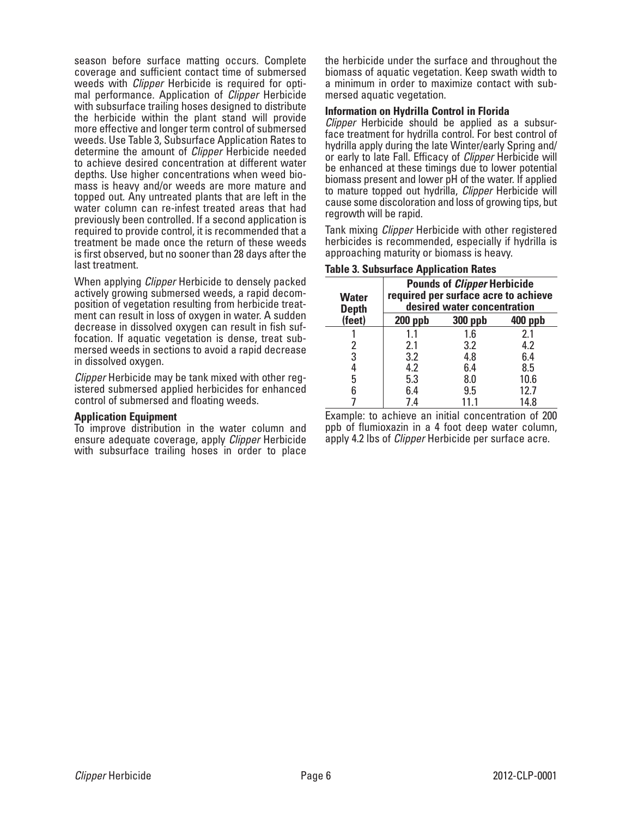season before surface matting occurs. Complete coverage and sufficient contact time of submersed weeds with *Clipper* Herbicide is required for optimal performance. Application of *Clipper* Herbicide with subsurface trailing hoses designed to distribute the herbicide within the plant stand will provide more effective and longer term control of submersed weeds. Use Table 3, Subsurface Application Rates to determine the amount of *Clipper* Herbicide needed to achieve desired concentration at different water depths. Use higher concentrations when weed biomass is heavy and/or weeds are more mature and topped out. Any untreated plants that are left in the water column can re-infest treated areas that had previously been controlled. If a second application is required to provide control, it is recommended that a treatment be made once the return of these weeds is first observed, but no sooner than 28 days after the last treatment.

When applying *Clipper* Herbicide to densely packed actively growing submersed weeds, a rapid decomposition of vegetation resulting from herbicide treatment can result in loss of oxygen in water. A sudden decrease in dissolved oxygen can result in fish suffocation. If aquatic vegetation is dense, treat submersed weeds in sections to avoid a rapid decrease in dissolved oxygen.

*Clipper* Herbicide may be tank mixed with other registered submersed applied herbicides for enhanced control of submersed and floating weeds.

#### **Application Equipment**

To improve distribution in the water column and ensure adequate coverage, apply *Clipper* Herbicide with subsurface trailing hoses in order to place the herbicide under the surface and throughout the biomass of aquatic vegetation. Keep swath width to a minimum in order to maximize contact with submersed aquatic vegetation.

#### **Information on Hydrilla Control in Florida**

*Clipper* Herbicide should be applied as a subsurface treatment for hydrilla control. For best control of hydrilla apply during the late Winter/early Spring and/ or early to late Fall. Efficacy of *Clipper* Herbicide will be enhanced at these timings due to lower potential biomass present and lower pH of the water. If applied to mature topped out hydrilla, *Clipper* Herbicide will cause some discoloration and loss of growing tips, but regrowth will be rapid.

Tank mixing *Clipper* Herbicide with other registered herbicides is recommended, especially if hydrilla is approaching maturity or biomass is heavy.

| <b>Water</b><br><b>Depth</b> | <b>Pounds of Clipper Herbicide</b><br>required per surface acre to achieve<br>desired water concentration |                |         |  |  |
|------------------------------|-----------------------------------------------------------------------------------------------------------|----------------|---------|--|--|
| (feet)                       | $200$ ppb                                                                                                 | <b>300 ppb</b> | 400 ppb |  |  |
|                              | 1.1                                                                                                       | 1.6            | 2.1     |  |  |
|                              | 2.1                                                                                                       | 3.2            | 4.2     |  |  |
| 3                            | 3.2                                                                                                       | 4.8            | 6.4     |  |  |
|                              | 4.2                                                                                                       | 6.4            | 8.5     |  |  |
| 5                            | 5.3                                                                                                       | 8.0            | 10.6    |  |  |
| 6                            | 6.4                                                                                                       | 9.5            | 12.7    |  |  |
|                              | 7.4                                                                                                       | 11.1           | 14.8    |  |  |

### **Table 3. Subsurface Application Rates**

Example: to achieve an initial concentration of 200 ppb of flumioxazin in a 4 foot deep water column, apply 4.2 lbs of *Clipper* Herbicide per surface acre.